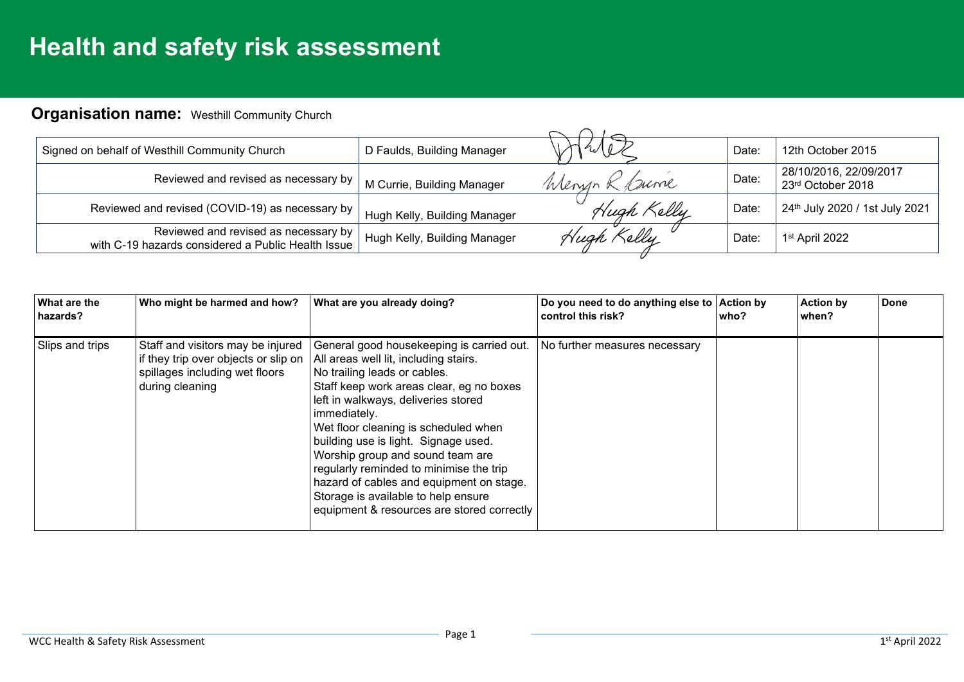## **Health and safety risk assessment**

## **Organisation name:** Westhill Community Church

| Signed on behalf of Westhill Community Church                                              | D Faulds, Building Manager   |               | Date: | 12th October 2015                           |
|--------------------------------------------------------------------------------------------|------------------------------|---------------|-------|---------------------------------------------|
| Reviewed and revised as necessary by                                                       | M Currie, Building Manager   | Wenyn<br>Dume | Date: | 28/10/2016, 22/09/2017<br>23rd October 2018 |
| Reviewed and revised (COVID-19) as necessary by                                            | Hugh Kelly, Building Manager | Hugh Kelly    | Date: | 24th July 2020 / 1st July 2021              |
| Reviewed and revised as necessary by<br>with C-19 hazards considered a Public Health Issue | Hugh Kelly, Building Manager | Zelly         | Date: | 1 <sup>st</sup> April 2022                  |

| What are the<br>hazards? | Who might be harmed and how?                                                                                                   | What are you already doing?                                                                                                                                                                                                                                                                                                                                                                                                                                                                                           | Do you need to do anything else to Action by<br>control this risk? | who? | <b>Action by</b><br>when? | <b>Done</b> |
|--------------------------|--------------------------------------------------------------------------------------------------------------------------------|-----------------------------------------------------------------------------------------------------------------------------------------------------------------------------------------------------------------------------------------------------------------------------------------------------------------------------------------------------------------------------------------------------------------------------------------------------------------------------------------------------------------------|--------------------------------------------------------------------|------|---------------------------|-------------|
| Slips and trips          | Staff and visitors may be injured<br>if they trip over objects or slip on<br>spillages including wet floors<br>during cleaning | General good housekeeping is carried out.<br>All areas well lit, including stairs.<br>No trailing leads or cables.<br>Staff keep work areas clear, eg no boxes<br>left in walkways, deliveries stored<br>immediately.<br>Wet floor cleaning is scheduled when<br>building use is light. Signage used.<br>Worship group and sound team are<br>regularly reminded to minimise the trip<br>hazard of cables and equipment on stage.<br>Storage is available to help ensure<br>equipment & resources are stored correctly | No further measures necessary                                      |      |                           |             |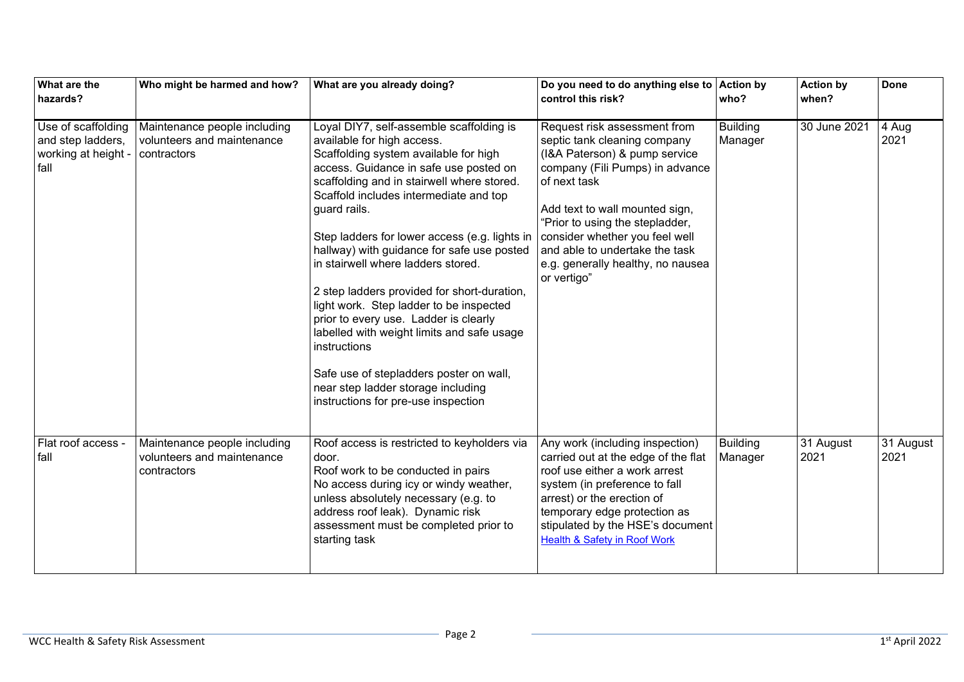| What are the<br>hazards?                                               | Who might be harmed and how?                                              | What are you already doing?                                                                                                                                                                                                                                                                                                                                                                                                                                                                                                                                                                                                                                                                                                     | Do you need to do anything else to<br>control this risk?                                                                                                                                                                                                                                                                                      | <b>Action by</b><br>who?   | <b>Action by</b><br>when? | <b>Done</b>       |
|------------------------------------------------------------------------|---------------------------------------------------------------------------|---------------------------------------------------------------------------------------------------------------------------------------------------------------------------------------------------------------------------------------------------------------------------------------------------------------------------------------------------------------------------------------------------------------------------------------------------------------------------------------------------------------------------------------------------------------------------------------------------------------------------------------------------------------------------------------------------------------------------------|-----------------------------------------------------------------------------------------------------------------------------------------------------------------------------------------------------------------------------------------------------------------------------------------------------------------------------------------------|----------------------------|---------------------------|-------------------|
| Use of scaffolding<br>and step ladders,<br>working at height -<br>fall | Maintenance people including<br>volunteers and maintenance<br>contractors | Loyal DIY7, self-assemble scaffolding is<br>available for high access.<br>Scaffolding system available for high<br>access. Guidance in safe use posted on<br>scaffolding and in stairwell where stored.<br>Scaffold includes intermediate and top<br>guard rails.<br>Step ladders for lower access (e.g. lights in<br>hallway) with guidance for safe use posted<br>in stairwell where ladders stored.<br>2 step ladders provided for short-duration,<br>light work. Step ladder to be inspected<br>prior to every use. Ladder is clearly<br>labelled with weight limits and safe usage<br>instructions<br>Safe use of stepladders poster on wall,<br>near step ladder storage including<br>instructions for pre-use inspection | Request risk assessment from<br>septic tank cleaning company<br>(I&A Paterson) & pump service<br>company (Fili Pumps) in advance<br>of next task<br>Add text to wall mounted sign,<br>"Prior to using the stepladder,<br>consider whether you feel well<br>and able to undertake the task<br>e.g. generally healthy, no nausea<br>or vertigo" | <b>Building</b><br>Manager | 30 June 2021              | 4 Aug<br>2021     |
| Flat roof access -<br>fall                                             | Maintenance people including<br>volunteers and maintenance<br>contractors | Roof access is restricted to keyholders via<br>door.<br>Roof work to be conducted in pairs<br>No access during icy or windy weather,<br>unless absolutely necessary (e.g. to<br>address roof leak). Dynamic risk<br>assessment must be completed prior to<br>starting task                                                                                                                                                                                                                                                                                                                                                                                                                                                      | Any work (including inspection)<br>carried out at the edge of the flat<br>roof use either a work arrest<br>system (in preference to fall<br>arrest) or the erection of<br>temporary edge protection as<br>stipulated by the HSE's document<br><b>Health &amp; Safety in Roof Work</b>                                                         | <b>Building</b><br>Manager | 31 August<br>2021         | 31 August<br>2021 |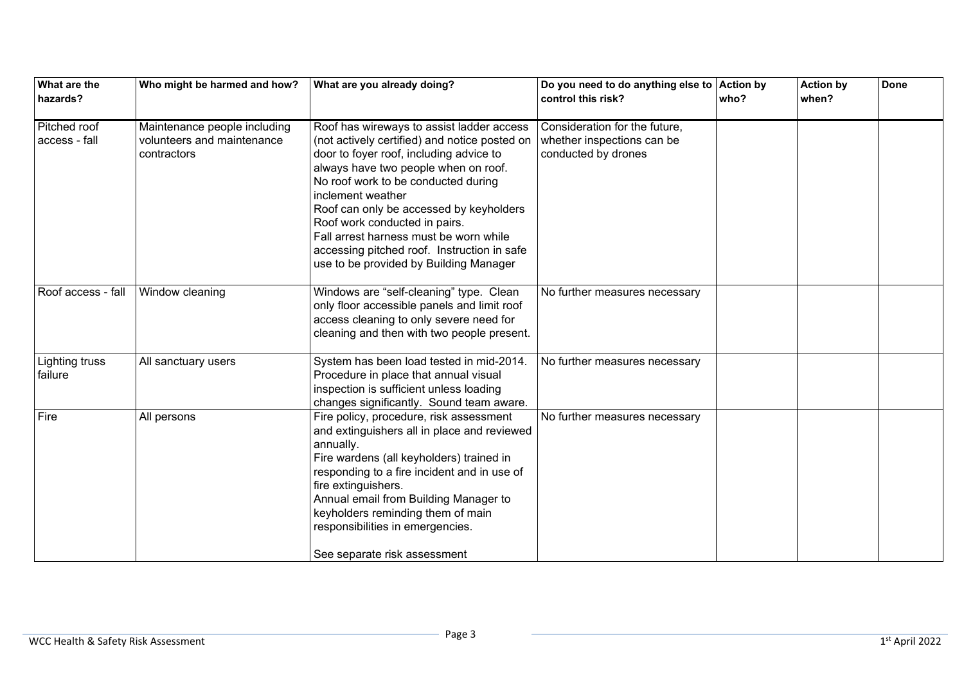| What are the<br>hazards?      | Who might be harmed and how?                                              | What are you already doing?                                                                                                                                                                                                                                                                                                                                                                                                                              | Do you need to do anything else to Action by<br>control this risk?                 | who? | <b>Action by</b><br>when? | <b>Done</b> |
|-------------------------------|---------------------------------------------------------------------------|----------------------------------------------------------------------------------------------------------------------------------------------------------------------------------------------------------------------------------------------------------------------------------------------------------------------------------------------------------------------------------------------------------------------------------------------------------|------------------------------------------------------------------------------------|------|---------------------------|-------------|
|                               |                                                                           |                                                                                                                                                                                                                                                                                                                                                                                                                                                          |                                                                                    |      |                           |             |
| Pitched roof<br>access - fall | Maintenance people including<br>volunteers and maintenance<br>contractors | Roof has wireways to assist ladder access<br>(not actively certified) and notice posted on<br>door to foyer roof, including advice to<br>always have two people when on roof.<br>No roof work to be conducted during<br>inclement weather<br>Roof can only be accessed by keyholders<br>Roof work conducted in pairs.<br>Fall arrest harness must be worn while<br>accessing pitched roof. Instruction in safe<br>use to be provided by Building Manager | Consideration for the future,<br>whether inspections can be<br>conducted by drones |      |                           |             |
| Roof access - fall            | Window cleaning                                                           | Windows are "self-cleaning" type. Clean<br>only floor accessible panels and limit roof<br>access cleaning to only severe need for<br>cleaning and then with two people present.                                                                                                                                                                                                                                                                          | No further measures necessary                                                      |      |                           |             |
| Lighting truss<br>failure     | All sanctuary users                                                       | System has been load tested in mid-2014.<br>Procedure in place that annual visual<br>inspection is sufficient unless loading<br>changes significantly. Sound team aware.                                                                                                                                                                                                                                                                                 | No further measures necessary                                                      |      |                           |             |
| Fire                          | All persons                                                               | Fire policy, procedure, risk assessment<br>and extinguishers all in place and reviewed<br>annually.<br>Fire wardens (all keyholders) trained in<br>responding to a fire incident and in use of<br>fire extinguishers.<br>Annual email from Building Manager to<br>keyholders reminding them of main<br>responsibilities in emergencies.<br>See separate risk assessment                                                                                  | No further measures necessary                                                      |      |                           |             |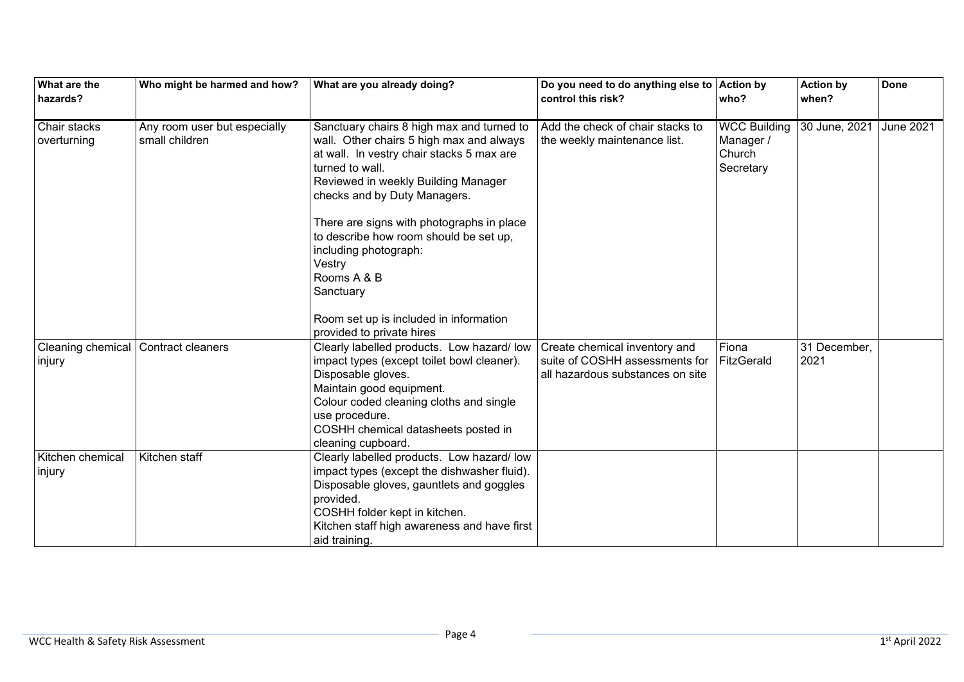| What are the<br>hazards?    | Who might be harmed and how?                   | What are you already doing?                                                                                                                                                                                                                                                                                                                                                        | Do you need to do anything else to<br>control this risk?                                            | <b>Action by</b><br>who?                                | <b>Action by</b><br>when? | <b>Done</b>      |
|-----------------------------|------------------------------------------------|------------------------------------------------------------------------------------------------------------------------------------------------------------------------------------------------------------------------------------------------------------------------------------------------------------------------------------------------------------------------------------|-----------------------------------------------------------------------------------------------------|---------------------------------------------------------|---------------------------|------------------|
|                             |                                                |                                                                                                                                                                                                                                                                                                                                                                                    |                                                                                                     |                                                         |                           |                  |
| Chair stacks<br>overturning | Any room user but especially<br>small children | Sanctuary chairs 8 high max and turned to<br>wall. Other chairs 5 high max and always<br>at wall. In vestry chair stacks 5 max are<br>turned to wall.<br>Reviewed in weekly Building Manager<br>checks and by Duty Managers.<br>There are signs with photographs in place<br>to describe how room should be set up,<br>including photograph:<br>Vestry<br>Rooms A & B<br>Sanctuary | Add the check of chair stacks to<br>the weekly maintenance list.                                    | <b>WCC Building</b><br>Manager /<br>Church<br>Secretary | 30 June, 2021             | <b>June 2021</b> |
|                             |                                                | Room set up is included in information<br>provided to private hires                                                                                                                                                                                                                                                                                                                |                                                                                                     |                                                         |                           |                  |
| Cleaning chemical<br>injury | Contract cleaners                              | Clearly labelled products. Low hazard/low<br>impact types (except toilet bowl cleaner).<br>Disposable gloves.<br>Maintain good equipment.<br>Colour coded cleaning cloths and single<br>use procedure.<br>COSHH chemical datasheets posted in<br>cleaning cupboard.                                                                                                                | Create chemical inventory and<br>suite of COSHH assessments for<br>all hazardous substances on site | Fiona<br>FitzGerald                                     | 31 December,<br>2021      |                  |
| Kitchen chemical<br>injury  | Kitchen staff                                  | Clearly labelled products. Low hazard/low<br>impact types (except the dishwasher fluid).<br>Disposable gloves, gauntlets and goggles<br>provided.<br>COSHH folder kept in kitchen.<br>Kitchen staff high awareness and have first<br>aid training.                                                                                                                                 |                                                                                                     |                                                         |                           |                  |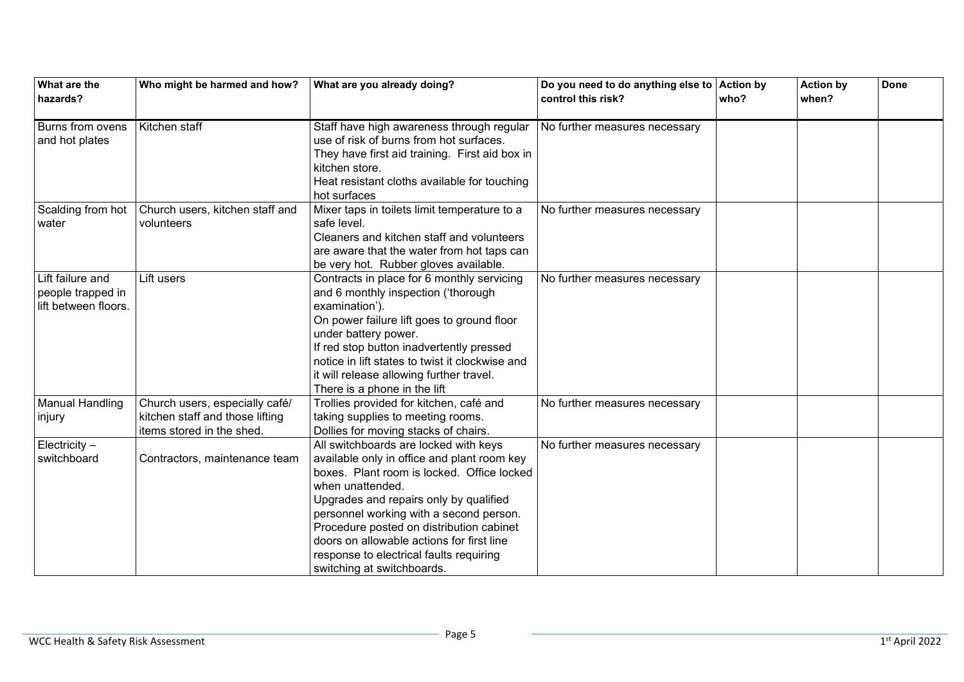| What are the<br>hazards?       | Who might be harmed and how?    | What are you already doing?                                                          | Do you need to do anything else to Action by<br>control this risk? | who? | <b>Action by</b><br>when? | <b>Done</b> |
|--------------------------------|---------------------------------|--------------------------------------------------------------------------------------|--------------------------------------------------------------------|------|---------------------------|-------------|
|                                |                                 |                                                                                      |                                                                    |      |                           |             |
| Burns from ovens               | Kitchen staff                   | Staff have high awareness through regular                                            | No further measures necessary                                      |      |                           |             |
| and hot plates                 |                                 | use of risk of burns from hot surfaces.                                              |                                                                    |      |                           |             |
|                                |                                 | They have first aid training. First aid box in                                       |                                                                    |      |                           |             |
|                                |                                 | kitchen store.                                                                       |                                                                    |      |                           |             |
|                                |                                 | Heat resistant cloths available for touching                                         |                                                                    |      |                           |             |
|                                |                                 | hot surfaces                                                                         |                                                                    |      |                           |             |
| Scalding from hot              | Church users, kitchen staff and | Mixer taps in toilets limit temperature to a                                         | No further measures necessary                                      |      |                           |             |
| water                          | volunteers                      | safe level.                                                                          |                                                                    |      |                           |             |
|                                |                                 | Cleaners and kitchen staff and volunteers                                            |                                                                    |      |                           |             |
|                                |                                 | are aware that the water from hot taps can                                           |                                                                    |      |                           |             |
|                                |                                 | be very hot. Rubber gloves available.                                                |                                                                    |      |                           |             |
| Lift failure and               | Lift users                      | Contracts in place for 6 monthly servicing                                           | No further measures necessary                                      |      |                           |             |
| people trapped in              |                                 | and 6 monthly inspection ('thorough                                                  |                                                                    |      |                           |             |
| lift between floors.           |                                 | examination').                                                                       |                                                                    |      |                           |             |
|                                |                                 | On power failure lift goes to ground floor                                           |                                                                    |      |                           |             |
|                                |                                 | under battery power.                                                                 |                                                                    |      |                           |             |
|                                |                                 | If red stop button inadvertently pressed                                             |                                                                    |      |                           |             |
|                                |                                 | notice in lift states to twist it clockwise and                                      |                                                                    |      |                           |             |
|                                |                                 | it will release allowing further travel.                                             |                                                                    |      |                           |             |
|                                |                                 | There is a phone in the lift                                                         |                                                                    |      |                           |             |
| <b>Manual Handling</b>         | Church users, especially café/  | Trollies provided for kitchen, café and                                              | No further measures necessary                                      |      |                           |             |
| injury                         | kitchen staff and those lifting | taking supplies to meeting rooms.                                                    |                                                                    |      |                           |             |
|                                | items stored in the shed.       | Dollies for moving stacks of chairs.                                                 |                                                                    |      |                           |             |
| Electricity $-$<br>switchboard |                                 | All switchboards are locked with keys<br>available only in office and plant room key | No further measures necessary                                      |      |                           |             |
|                                | Contractors, maintenance team   | boxes. Plant room is locked. Office locked                                           |                                                                    |      |                           |             |
|                                |                                 | when unattended.                                                                     |                                                                    |      |                           |             |
|                                |                                 | Upgrades and repairs only by qualified                                               |                                                                    |      |                           |             |
|                                |                                 | personnel working with a second person.                                              |                                                                    |      |                           |             |
|                                |                                 | Procedure posted on distribution cabinet                                             |                                                                    |      |                           |             |
|                                |                                 | doors on allowable actions for first line                                            |                                                                    |      |                           |             |
|                                |                                 | response to electrical faults requiring                                              |                                                                    |      |                           |             |
|                                |                                 | switching at switchboards.                                                           |                                                                    |      |                           |             |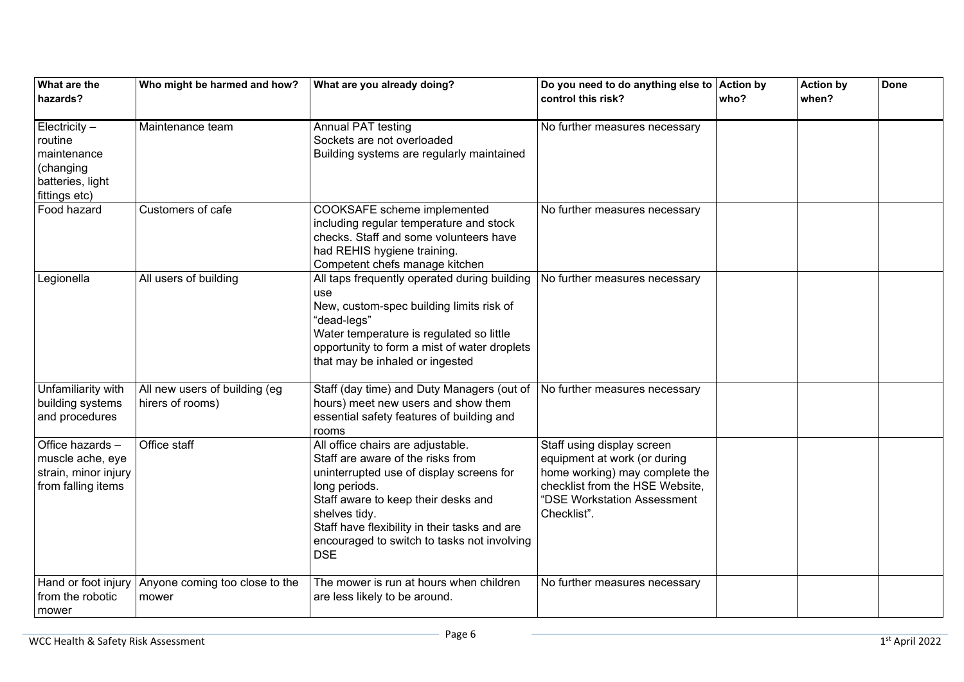| What are the<br>hazards?                                                                  | Who might be harmed and how?                      | What are you already doing?                                                                                                                                                                                                                                                                               | Do you need to do anything else to Action by<br>control this risk?                                                                                                            | who? | <b>Action by</b><br>when? | <b>Done</b> |
|-------------------------------------------------------------------------------------------|---------------------------------------------------|-----------------------------------------------------------------------------------------------------------------------------------------------------------------------------------------------------------------------------------------------------------------------------------------------------------|-------------------------------------------------------------------------------------------------------------------------------------------------------------------------------|------|---------------------------|-------------|
| Electricity -<br>routine<br>maintenance<br>(changing<br>batteries, light<br>fittings etc) | Maintenance team                                  | <b>Annual PAT testing</b><br>Sockets are not overloaded<br>Building systems are regularly maintained                                                                                                                                                                                                      | No further measures necessary                                                                                                                                                 |      |                           |             |
| Food hazard                                                                               | Customers of cafe                                 | COOKSAFE scheme implemented<br>including regular temperature and stock<br>checks. Staff and some volunteers have<br>had REHIS hygiene training.<br>Competent chefs manage kitchen                                                                                                                         | No further measures necessary                                                                                                                                                 |      |                           |             |
| Legionella                                                                                | All users of building                             | All taps frequently operated during building<br>use<br>New, custom-spec building limits risk of<br>"dead-legs"<br>Water temperature is regulated so little<br>opportunity to form a mist of water droplets<br>that may be inhaled or ingested                                                             | No further measures necessary                                                                                                                                                 |      |                           |             |
| Unfamiliarity with<br>building systems<br>and procedures                                  | All new users of building (eg<br>hirers of rooms) | Staff (day time) and Duty Managers (out of<br>hours) meet new users and show them<br>essential safety features of building and<br>rooms                                                                                                                                                                   | No further measures necessary                                                                                                                                                 |      |                           |             |
| Office hazards -<br>muscle ache, eye<br>strain, minor injury<br>from falling items        | Office staff                                      | All office chairs are adjustable.<br>Staff are aware of the risks from<br>uninterrupted use of display screens for<br>long periods.<br>Staff aware to keep their desks and<br>shelves tidy.<br>Staff have flexibility in their tasks and are<br>encouraged to switch to tasks not involving<br><b>DSE</b> | Staff using display screen<br>equipment at work (or during<br>home working) may complete the<br>checklist from the HSE Website,<br>"DSE Workstation Assessment<br>Checklist". |      |                           |             |
| Hand or foot injury<br>from the robotic<br>mower                                          | Anyone coming too close to the<br>mower           | The mower is run at hours when children<br>are less likely to be around.                                                                                                                                                                                                                                  | No further measures necessary                                                                                                                                                 |      |                           |             |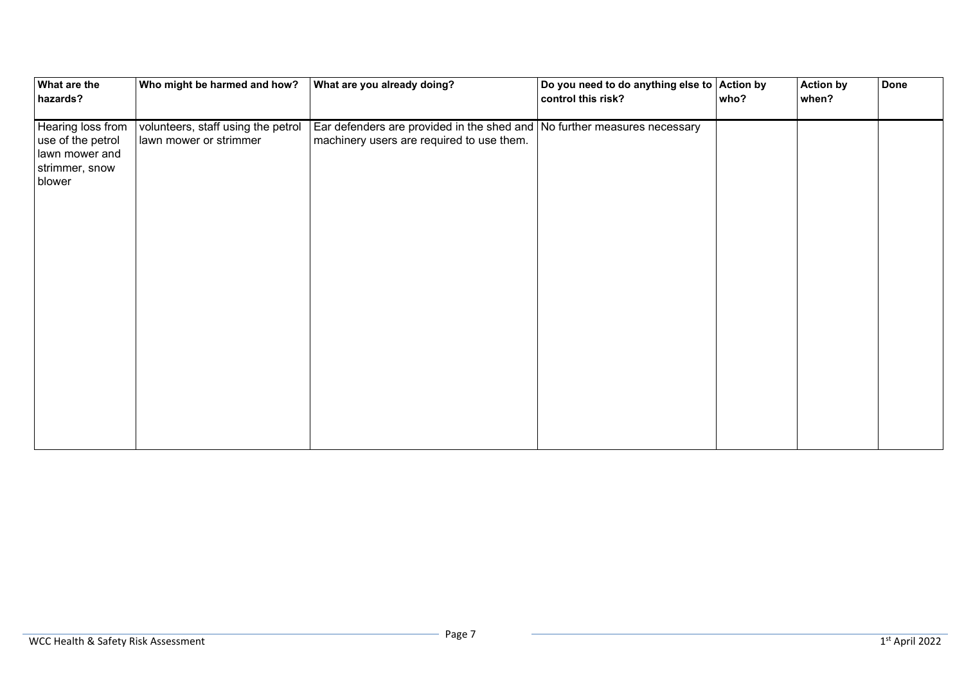| What are the<br>hazards?                                                             | Who might be harmed and how?                                 | What are you already doing?                                                                                           | Do you need to do anything else to<br>control this risk? | <b>Action by</b><br>who? | <b>Action by</b><br>when? | <b>Done</b> |
|--------------------------------------------------------------------------------------|--------------------------------------------------------------|-----------------------------------------------------------------------------------------------------------------------|----------------------------------------------------------|--------------------------|---------------------------|-------------|
| Hearing loss from<br>use of the petrol<br>lawn mower and<br>strimmer, snow<br>blower | volunteers, staff using the petrol<br>lawn mower or strimmer | Ear defenders are provided in the shed and No further measures necessary<br>machinery users are required to use them. |                                                          |                          |                           |             |
|                                                                                      |                                                              |                                                                                                                       |                                                          |                          |                           |             |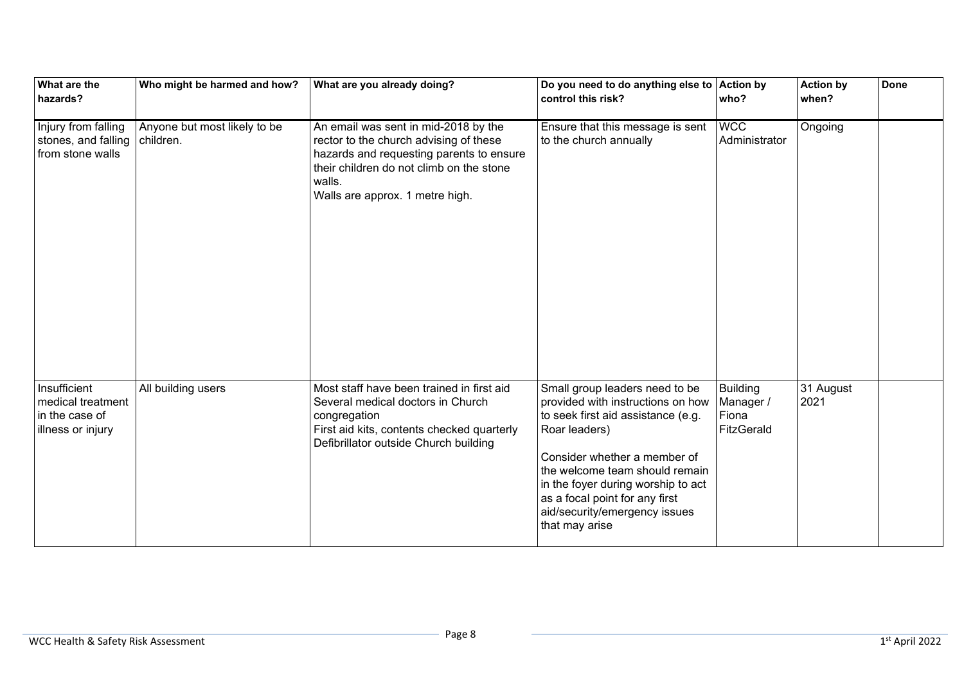| What are the<br>hazards?                                                 | Who might be harmed and how?              | What are you already doing?                                                                                                                                                                                         | Do you need to do anything else to<br>control this risk?                                                                                                                                                                                                                                                                | <b>Action by</b><br>who?                            | <b>Action by</b><br>when? | <b>Done</b> |
|--------------------------------------------------------------------------|-------------------------------------------|---------------------------------------------------------------------------------------------------------------------------------------------------------------------------------------------------------------------|-------------------------------------------------------------------------------------------------------------------------------------------------------------------------------------------------------------------------------------------------------------------------------------------------------------------------|-----------------------------------------------------|---------------------------|-------------|
| Injury from falling<br>stones, and falling<br>from stone walls           | Anyone but most likely to be<br>children. | An email was sent in mid-2018 by the<br>rector to the church advising of these<br>hazards and requesting parents to ensure<br>their children do not climb on the stone<br>walls.<br>Walls are approx. 1 metre high. | Ensure that this message is sent<br>to the church annually                                                                                                                                                                                                                                                              | <b>WCC</b><br>Administrator                         | Ongoing                   |             |
| Insufficient<br>medical treatment<br>in the case of<br>illness or injury | All building users                        | Most staff have been trained in first aid<br>Several medical doctors in Church<br>congregation<br>First aid kits, contents checked quarterly<br>Defibrillator outside Church building                               | Small group leaders need to be<br>provided with instructions on how<br>to seek first aid assistance (e.g.<br>Roar leaders)<br>Consider whether a member of<br>the welcome team should remain<br>in the foyer during worship to act<br>as a focal point for any first<br>aid/security/emergency issues<br>that may arise | <b>Building</b><br>Manager /<br>Fiona<br>FitzGerald | 31 August<br>2021         |             |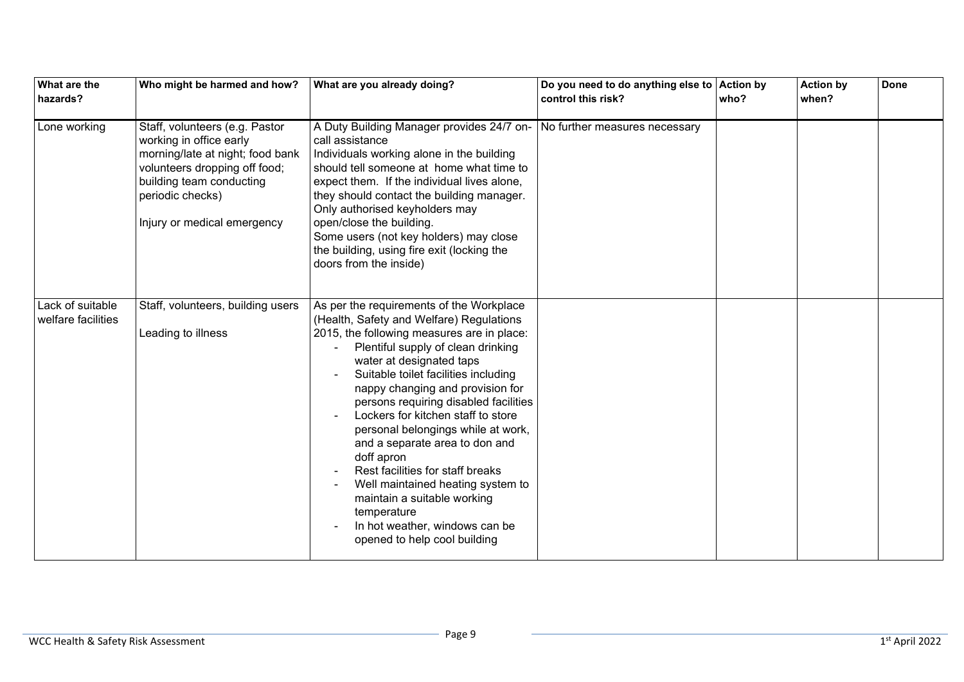| What are the<br>hazards?               | Who might be harmed and how?                                                                                                                                                                                  | What are you already doing?                                                                                                                                                                                                                                                                                                                                                                                                                                                                                                                                                                                                                    | Do you need to do anything else to<br>control this risk? | <b>Action by</b><br>who? | <b>Action by</b><br>when? | <b>Done</b> |
|----------------------------------------|---------------------------------------------------------------------------------------------------------------------------------------------------------------------------------------------------------------|------------------------------------------------------------------------------------------------------------------------------------------------------------------------------------------------------------------------------------------------------------------------------------------------------------------------------------------------------------------------------------------------------------------------------------------------------------------------------------------------------------------------------------------------------------------------------------------------------------------------------------------------|----------------------------------------------------------|--------------------------|---------------------------|-------------|
| Lone working                           | Staff, volunteers (e.g. Pastor<br>working in office early<br>morning/late at night; food bank<br>volunteers dropping off food;<br>building team conducting<br>periodic checks)<br>Injury or medical emergency | A Duty Building Manager provides 24/7 on-<br>call assistance<br>Individuals working alone in the building<br>should tell someone at home what time to<br>expect them. If the individual lives alone,<br>they should contact the building manager.<br>Only authorised keyholders may<br>open/close the building.<br>Some users (not key holders) may close<br>the building, using fire exit (locking the<br>doors from the inside)                                                                                                                                                                                                              | No further measures necessary                            |                          |                           |             |
| Lack of suitable<br>welfare facilities | Staff, volunteers, building users<br>Leading to illness                                                                                                                                                       | As per the requirements of the Workplace<br>(Health, Safety and Welfare) Regulations<br>2015, the following measures are in place:<br>Plentiful supply of clean drinking<br>water at designated taps<br>Suitable toilet facilities including<br>nappy changing and provision for<br>persons requiring disabled facilities<br>Lockers for kitchen staff to store<br>personal belongings while at work,<br>and a separate area to don and<br>doff apron<br>Rest facilities for staff breaks<br>Well maintained heating system to<br>maintain a suitable working<br>temperature<br>In hot weather, windows can be<br>opened to help cool building |                                                          |                          |                           |             |